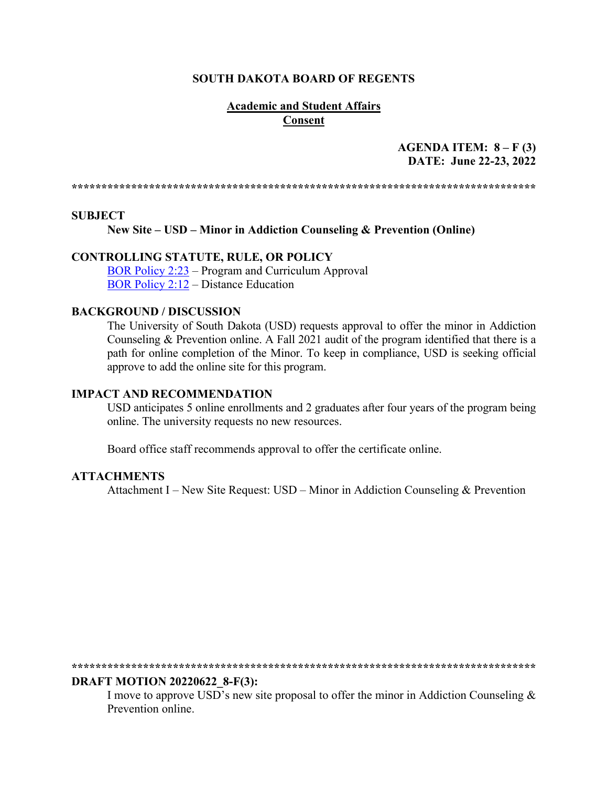#### **SOUTH DAKOTA BOARD OF REGENTS**

## **Academic and Student Affairs Consent**

# **AGENDA ITEM: 8 – F (3) DATE: June 22-23, 2022**

**\*\*\*\*\*\*\*\*\*\*\*\*\*\*\*\*\*\*\*\*\*\*\*\*\*\*\*\*\*\*\*\*\*\*\*\*\*\*\*\*\*\*\*\*\*\*\*\*\*\*\*\*\*\*\*\*\*\*\*\*\*\*\*\*\*\*\*\*\*\*\*\*\*\*\*\*\*\***

#### **SUBJECT**

**New Site – USD – Minor in Addiction Counseling & Prevention (Online)** 

## **CONTROLLING STATUTE, RULE, OR POLICY**

[BOR Policy 2:23](https://www.sdbor.edu/policy/Documents/2-23.pdf) – Program and Curriculum Approval [BOR Policy 2:12](https://www.sdbor.edu/policy/documents/2-12.pdf) – Distance Education

#### **BACKGROUND / DISCUSSION**

The University of South Dakota (USD) requests approval to offer the minor in Addiction Counseling & Prevention online. A Fall 2021 audit of the program identified that there is a path for online completion of the Minor. To keep in compliance, USD is seeking official approve to add the online site for this program.

#### **IMPACT AND RECOMMENDATION**

USD anticipates 5 online enrollments and 2 graduates after four years of the program being online. The university requests no new resources.

Board office staff recommends approval to offer the certificate online.

#### **ATTACHMENTS**

Attachment I – New Site Request: USD – Minor in Addiction Counseling & Prevention

**\*\*\*\*\*\*\*\*\*\*\*\*\*\*\*\*\*\*\*\*\*\*\*\*\*\*\*\*\*\*\*\*\*\*\*\*\*\*\*\*\*\*\*\*\*\*\*\*\*\*\*\*\*\*\*\*\*\*\*\*\*\*\*\*\*\*\*\*\*\*\*\*\*\*\*\*\*\*** 

#### **DRAFT MOTION 20220622\_8-F(3):**

I move to approve USD's new site proposal to offer the minor in Addiction Counseling & Prevention online.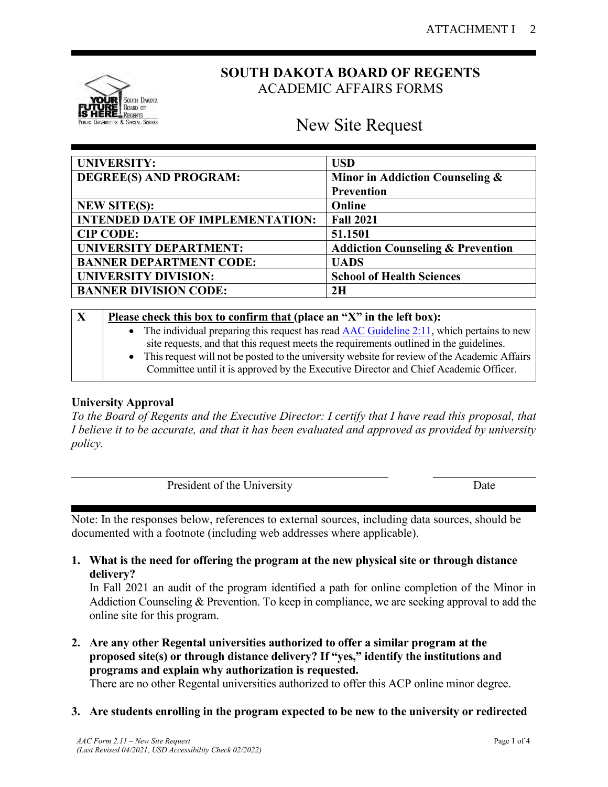

# **SOUTH DAKOTA BOARD OF REGENTS** ACADEMIC AFFAIRS FORMS

# New Site Request

| <b>UNIVERSITY:</b>                      | <b>USD</b>                                   |
|-----------------------------------------|----------------------------------------------|
| DEGREE(S) AND PROGRAM:                  | Minor in Addiction Counseling &              |
|                                         | Prevention                                   |
| <b>NEW SITE(S):</b>                     | Online                                       |
| <b>INTENDED DATE OF IMPLEMENTATION:</b> | <b>Fall 2021</b>                             |
| <b>CIP CODE:</b>                        | 51.1501                                      |
| <b>UNIVERSITY DEPARTMENT:</b>           | <b>Addiction Counseling &amp; Prevention</b> |
| <b>BANNER DEPARTMENT CODE:</b>          | <b>UADS</b>                                  |
| <b>UNIVERSITY DIVISION:</b>             | <b>School of Health Sciences</b>             |
| <b>BANNER DIVISION CODE:</b>            | 2H                                           |

| X | Please check this box to confirm that (place an "X" in the left box):                                   |  |  |  |  |
|---|---------------------------------------------------------------------------------------------------------|--|--|--|--|
|   | • The individual preparing this request has read $\overline{AAC}$ Guideline 2:11, which pertains to new |  |  |  |  |
|   | site requests, and that this request meets the requirements outlined in the guidelines.                 |  |  |  |  |
|   | • This request will not be posted to the university website for review of the Academic Affairs          |  |  |  |  |
|   | Committee until it is approved by the Executive Director and Chief Academic Officer.                    |  |  |  |  |

# **University Approval**

*To the Board of Regents and the Executive Director: I certify that I have read this proposal, that I believe it to be accurate, and that it has been evaluated and approved as provided by university policy.*

| President of the University | ale |
|-----------------------------|-----|

Note: In the responses below, references to external sources, including data sources, should be documented with a footnote (including web addresses where applicable).

**1. What is the need for offering the program at the new physical site or through distance delivery?**

In Fall 2021 an audit of the program identified a path for online completion of the Minor in Addiction Counseling & Prevention. To keep in compliance, we are seeking approval to add the online site for this program.

**2. Are any other Regental universities authorized to offer a similar program at the proposed site(s) or through distance delivery? If "yes," identify the institutions and programs and explain why authorization is requested.** There are no other Regental universities authorized to offer this ACP online minor degree.

**3. Are students enrolling in the program expected to be new to the university or redirected**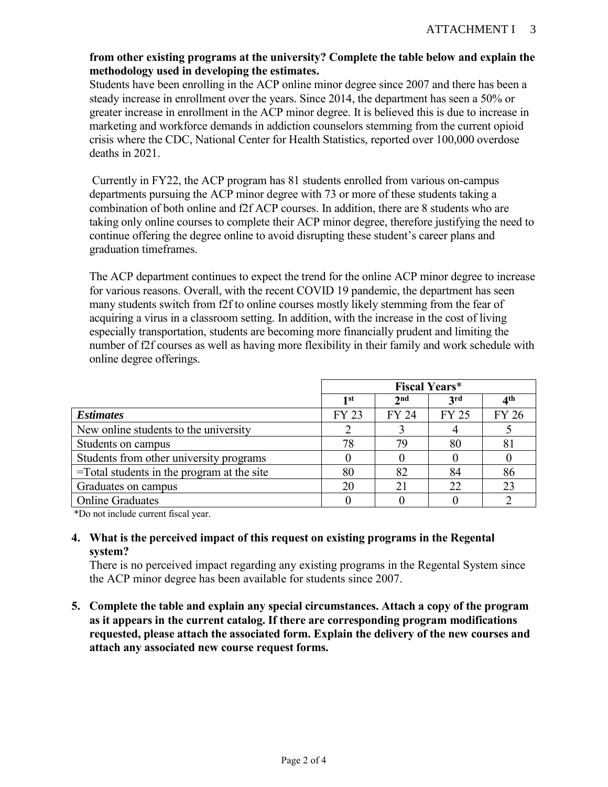# **from other existing programs at the university? Complete the table below and explain the methodology used in developing the estimates.**

Students have been enrolling in the ACP online minor degree since 2007 and there has been a steady increase in enrollment over the years. Since 2014, the department has seen a 50% or greater increase in enrollment in the ACP minor degree. It is believed this is due to increase in marketing and workforce demands in addiction counselors stemming from the current opioid crisis where the CDC, National Center for Health Statistics, reported over 100,000 overdose deaths in 2021.

Currently in FY22, the ACP program has 81 students enrolled from various on-campus departments pursuing the ACP minor degree with 73 or more of these students taking a combination of both online and f2f ACP courses. In addition, there are 8 students who are taking only online courses to complete their ACP minor degree, therefore justifying the need to continue offering the degree online to avoid disrupting these student's career plans and graduation timeframes.

The ACP department continues to expect the trend for the online ACP minor degree to increase for various reasons. Overall, with the recent COVID 19 pandemic, the department has seen many students switch from f2f to online courses mostly likely stemming from the fear of acquiring a virus in a classroom setting. In addition, with the increase in the cost of living especially transportation, students are becoming more financially prudent and limiting the number of f2f courses as well as having more flexibility in their family and work schedule with online degree offerings.

|                                               | <b>Fiscal Years*</b> |                 |              |                 |
|-----------------------------------------------|----------------------|-----------------|--------------|-----------------|
|                                               | 1st                  | 2 <sub>nd</sub> | 3rd          | 4 <sup>th</sup> |
| <b>Estimates</b>                              | <b>FY 23</b>         | FY 24           | <b>FY 25</b> | <b>FY 26</b>    |
| New online students to the university         |                      |                 |              |                 |
| Students on campus                            | 78                   | 79              | 80           | 81              |
| Students from other university programs       |                      |                 |              |                 |
| $=$ Total students in the program at the site | 80                   | 82              | 84           | 86              |
| Graduates on campus                           | 20                   |                 | 22           | 23              |
| <b>Online Graduates</b>                       |                      |                 |              |                 |

\*Do not include current fiscal year.

# **4. What is the perceived impact of this request on existing programs in the Regental system?**

There is no perceived impact regarding any existing programs in the Regental System since the ACP minor degree has been available for students since 2007.

**5. Complete the table and explain any special circumstances. Attach a copy of the program as it appears in the current catalog. If there are corresponding program modifications requested, please attach the associated form. Explain the delivery of the new courses and attach any associated new course request forms.**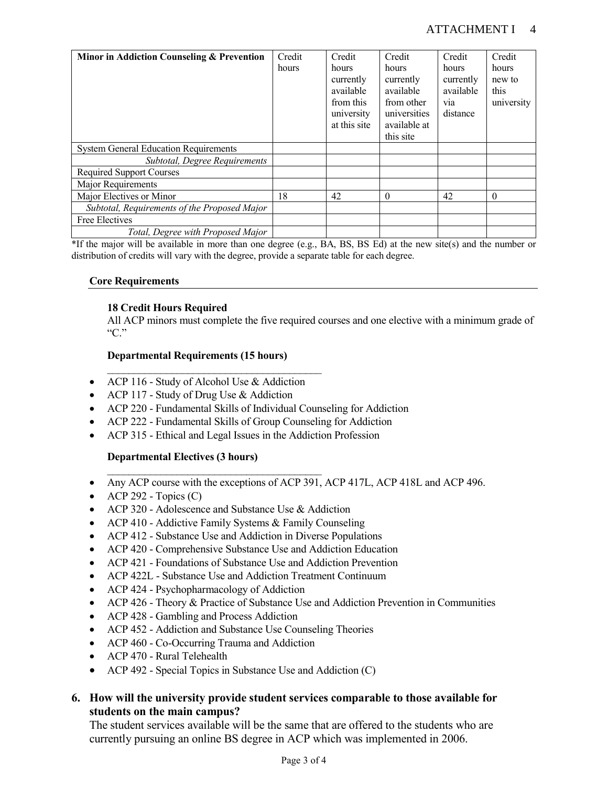# ATTACHMENT I 4

| Minor in Addiction Counseling & Prevention   | Credit | Credit       | Credit       | Credit           | Credit     |
|----------------------------------------------|--------|--------------|--------------|------------------|------------|
|                                              | hours  | hours        | hours        | hours            | hours      |
|                                              |        | currently    | currently    | currently        | new to     |
|                                              |        | available    | available    | available        | this       |
|                                              |        | from this    | from other   | V <sub>1</sub> a | university |
|                                              |        | university   | universities | distance         |            |
|                                              |        | at this site | available at |                  |            |
|                                              |        |              | this site    |                  |            |
| <b>System General Education Requirements</b> |        |              |              |                  |            |
| Subtotal, Degree Requirements                |        |              |              |                  |            |
| <b>Required Support Courses</b>              |        |              |              |                  |            |
| Major Requirements                           |        |              |              |                  |            |
| Major Electives or Minor                     | 18     | 42           | $\Omega$     | 42               | $\theta$   |
| Subtotal, Requirements of the Proposed Major |        |              |              |                  |            |
| Free Electives                               |        |              |              |                  |            |
| Total, Degree with Proposed Major            |        |              |              |                  |            |

\*If the major will be available in more than one degree (e.g., BA, BS, BS Ed) at the new site(s) and the number or distribution of credits will vary with the degree, provide a separate table for each degree.

#### **Core Requirements**

#### **18 Credit Hours Required**

All ACP minors must complete the five required courses and one elective with a minimum grade of "C."

#### **Departmental Requirements (15 hours)**

 $\mathcal{L}_\text{max}$  , and the set of the set of the set of the set of the set of the set of the set of the set of the set of the set of the set of the set of the set of the set of the set of the set of the set of the set of the

- ACP 116 Study of Alcohol Use & Addiction
- ACP 117 Study of Drug Use & Addiction
- ACP 220 Fundamental Skills of Individual Counseling for Addiction
- ACP 222 Fundamental Skills of Group Counseling for Addiction
- ACP 315 Ethical and Legal Issues in the Addiction Profession

#### **Departmental Electives (3 hours)**

- Any ACP course with the exceptions of ACP 391, ACP 417L, ACP 418L and ACP 496.
- ACP 292 Topics  $(C)$
- ACP 320 Adolescence and Substance Use & Addiction

 $\mathcal{L}_\text{max}$  , and the set of the set of the set of the set of the set of the set of the set of the set of the set of the set of the set of the set of the set of the set of the set of the set of the set of the set of the

- ACP 410 Addictive Family Systems & Family Counseling
- ACP 412 Substance Use and Addiction in Diverse Populations
- ACP 420 Comprehensive Substance Use and Addiction Education
- ACP 421 Foundations of Substance Use and Addiction Prevention
- ACP 422L Substance Use and Addiction Treatment Continuum
- ACP 424 Psychopharmacology of Addiction
- ACP 426 Theory & Practice of Substance Use and Addiction Prevention in Communities
- ACP 428 Gambling and Process Addiction
- ACP 452 Addiction and Substance Use Counseling Theories
- ACP 460 Co-Occurring Trauma and Addiction
- ACP 470 Rural Telehealth
- ACP 492 Special Topics in Substance Use and Addiction (C)

# **6. How will the university provide student services comparable to those available for students on the main campus?**

The student services available will be the same that are offered to the students who are currently pursuing an online BS degree in ACP which was implemented in 2006.